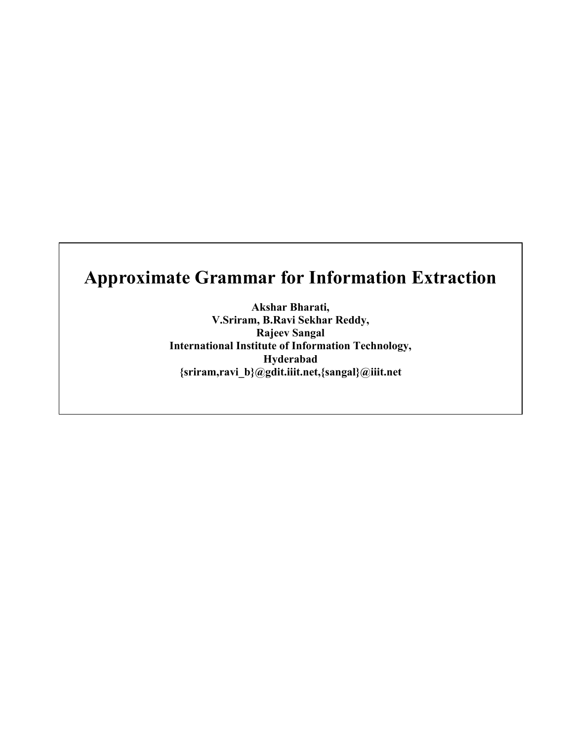# **Approximate Grammar for Information Extraction**

**Akshar Bharati, V.Sriram, B.Ravi Sekhar Reddy, Rajeev Sangal International Institute of Information Technology, Hyderabad {sriram,ravi\_b}@gdit.iiit.net,{sangal}@iiit.net**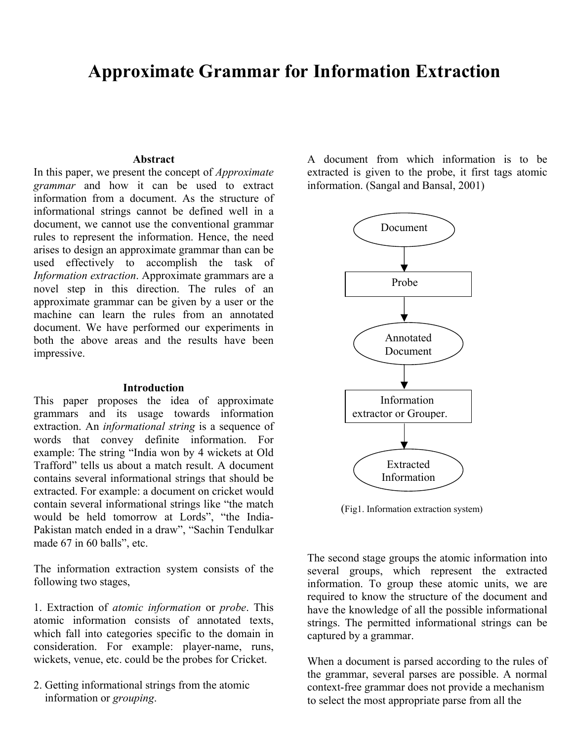# **Approximate Grammar for Information Extraction**

#### **Abstract**

In this paper, we present the concept of *Approximate grammar* and how it can be used to extract information from a document. As the structure of informational strings cannot be defined well in a document, we cannot use the conventional grammar rules to represent the information. Hence, the need arises to design an approximate grammar than can be used effectively to accomplish the task of *Information extraction*. Approximate grammars are a novel step in this direction. The rules of an approximate grammar can be given by a user or the machine can learn the rules from an annotated document. We have performed our experiments in both the above areas and the results have been impressive.

#### **Introduction**

This paper proposes the idea of approximate grammars and its usage towards information extraction. An *informational string* is a sequence of words that convey definite information. For example: The string "India won by 4 wickets at Old Trafford" tells us about a match result. A document contains several informational strings that should be extracted. For example: a document on cricket would contain several informational strings like "the match would be held tomorrow at Lords", "the India-Pakistan match ended in a draw", "Sachin Tendulkar made 67 in 60 balls", etc.

The information extraction system consists of the following two stages,

1. Extraction of *atomic information* or *probe*. This atomic information consists of annotated texts, which fall into categories specific to the domain in consideration. For example: player-name, runs, wickets, venue, etc. could be the probes for Cricket.

2. Getting informational strings from the atomic information or *grouping*.

A document from which information is to be extracted is given to the probe, it first tags atomic information. (Sangal and Bansal, 2001)



(Fig1. Information extraction system)

The second stage groups the atomic information into several groups, which represent the extracted information. To group these atomic units, we are required to know the structure of the document and have the knowledge of all the possible informational strings. The permitted informational strings can be captured by a grammar.

When a document is parsed according to the rules of the grammar, several parses are possible. A normal context-free grammar does not provide a mechanism to select the most appropriate parse from all the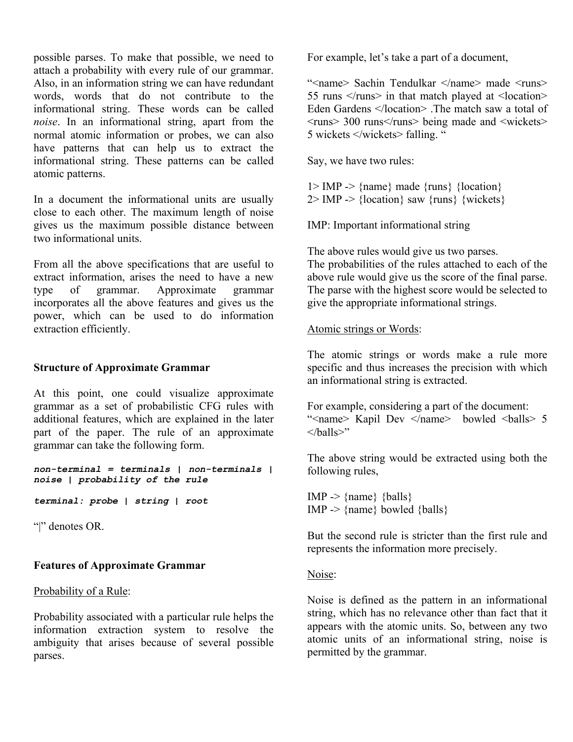possible parses. To make that possible, we need to attach a probability with every rule of our grammar. Also, in an information string we can have redundant words, words that do not contribute to the informational string. These words can be called *noise*. In an informational string, apart from the normal atomic information or probes, we can also have patterns that can help us to extract the informational string. These patterns can be called atomic patterns.

In a document the informational units are usually close to each other. The maximum length of noise gives us the maximum possible distance between two informational units.

From all the above specifications that are useful to extract information, arises the need to have a new type of grammar. Approximate grammar incorporates all the above features and gives us the power, which can be used to do information extraction efficiently.

#### **Structure of Approximate Grammar**

At this point, one could visualize approximate grammar as a set of probabilistic CFG rules with additional features, which are explained in the later part of the paper. The rule of an approximate grammar can take the following form.

*non-terminal = terminals | non-terminals | noise | probability of the rule* 

*terminal: probe | string | root*

"|" denotes OR.

# **Features of Approximate Grammar**

# Probability of a Rule:

Probability associated with a particular rule helps the information extraction system to resolve the ambiguity that arises because of several possible parses.

For example, let's take a part of a document,

"<name> Sachin Tendulkar </name> made <runs> 55 runs  $\langle$  /runs $>$  in that match played at  $\langle$  location $>$ Eden Gardens </location> .The match saw a total of  $\langle \text{runs} \rangle$  300 runs $\langle \text{runs} \rangle$  being made and  $\langle \text{wickets} \rangle$ 5 wickets </wickets> falling. "

Say, we have two rules:

 $1 > \text{IMP} \rightarrow \text{frame}$ } made {runs} {location}  $2 >$  IMP - $>$  {location} saw {runs} {wickets}

IMP: Important informational string

The above rules would give us two parses. The probabilities of the rules attached to each of the above rule would give us the score of the final parse. The parse with the highest score would be selected to give the appropriate informational strings.

#### Atomic strings or Words:

The atomic strings or words make a rule more specific and thus increases the precision with which an informational string is extracted.

For example, considering a part of the document: "<name> Kapil Dev </name> bowled <balls> 5  $\langle$ halls>"

The above string would be extracted using both the following rules,

 $IMP \rightarrow \{name\} \{balls\}$  $IMP \rightarrow \{name\}$  bowled  $\{balls\}$ 

But the second rule is stricter than the first rule and represents the information more precisely.

Noise:

Noise is defined as the pattern in an informational string, which has no relevance other than fact that it appears with the atomic units. So, between any two atomic units of an informational string, noise is permitted by the grammar.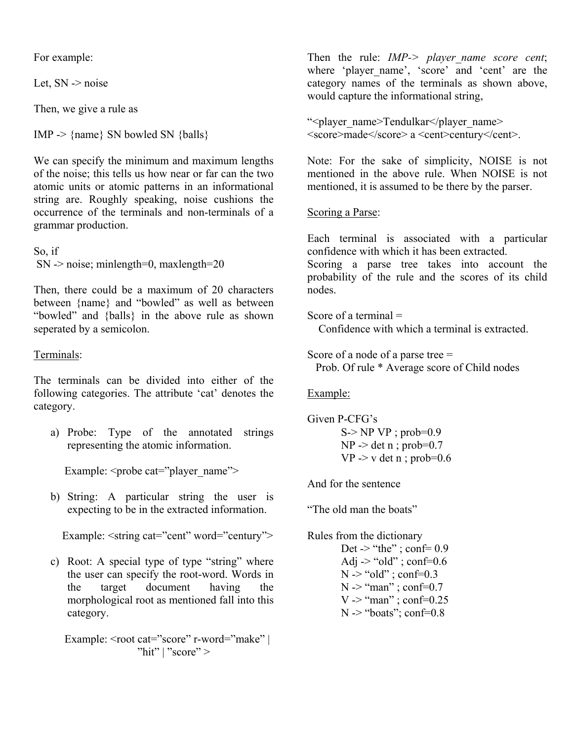For example:

Let, SN -> noise

Then, we give a rule as

 $IMP \rightarrow \{name\} SN$  bowled SN  $\{balls\}$ 

We can specify the minimum and maximum lengths of the noise; this tells us how near or far can the two atomic units or atomic patterns in an informational string are. Roughly speaking, noise cushions the occurrence of the terminals and non-terminals of a grammar production.

So, if  $SN \rightarrow noise$ ; minlength=0, maxlength=20

Then, there could be a maximum of 20 characters between {name} and "bowled" as well as between "bowled" and {balls} in the above rule as shown seperated by a semicolon.

#### Terminals:

The terminals can be divided into either of the following categories. The attribute 'cat' denotes the category.

a) Probe: Type of the annotated strings representing the atomic information.

Example: <probe cat="player\_name">

b) String: A particular string the user is expecting to be in the extracted information.

Example: <string cat="cent" word="century">

c) Root: A special type of type "string" where the user can specify the root-word. Words in the target document having the morphological root as mentioned fall into this category.

Example: <root cat="score" r-word="make" | "hit" | "score"  $>$ 

Then the rule: *IMP-> player\_name score cent*; where 'player name', 'score' and 'cent' are the category names of the terminals as shown above, would capture the informational string,

"<player\_name>Tendulkar</player\_name> <score>made</score> a <cent>century</cent>.

Note: For the sake of simplicity, NOISE is not mentioned in the above rule. When NOISE is not mentioned, it is assumed to be there by the parser.

#### Scoring a Parse:

Each terminal is associated with a particular confidence with which it has been extracted.

Scoring a parse tree takes into account the probability of the rule and the scores of its child nodes.

Score of a terminal = Confidence with which a terminal is extracted.

Score of a node of a parse tree = Prob. Of rule \* Average score of Child nodes

#### Example:

Given P-CFG's S-> NP VP ; prob=0.9  $NP \rightarrow det n$ ; prob=0.7  $VP \rightarrow$  v det n; prob=0.6

And for the sentence

"The old man the boats"

Rules from the dictionary

Det  $\rightarrow$  "the"; conf= 0.9 Adj  $\sim$  "old"; conf=0.6  $N >$  "old" ; conf=0.3  $N \rightarrow$  "man"; conf=0.7 V -> "man" ; conf=0.25  $N \rightarrow$  "boats"; conf=0.8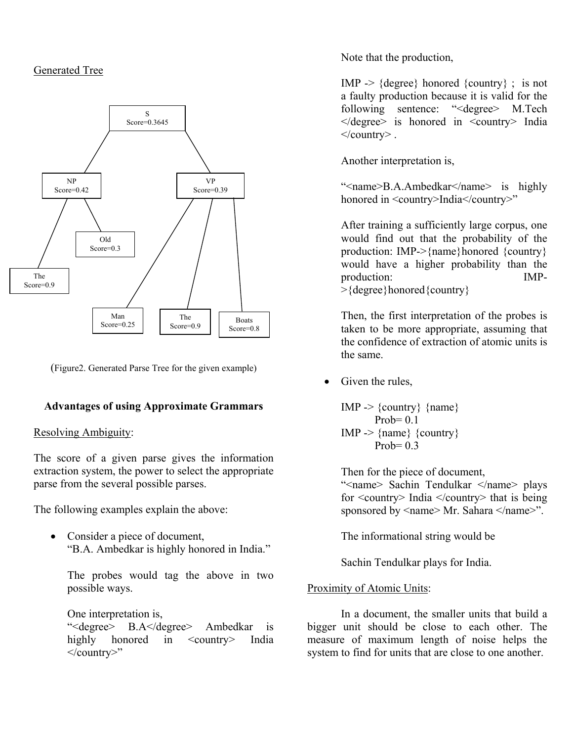### Generated Tree



(Figure2. Generated Parse Tree for the given example)

#### **Advantages of using Approximate Grammars**

#### Resolving Ambiguity:

The score of a given parse gives the information extraction system, the power to select the appropriate parse from the several possible parses.

The following examples explain the above:

• Consider a piece of document, "B.A. Ambedkar is highly honored in India."

The probes would tag the above in two possible ways.

One interpretation is,

"<degree> B.A</degree> Ambedkar is highly honored in <country> India </country>"

Note that the production,

IMP  $\rightarrow$  {degree} honored {country}; is not a faulty production because it is valid for the following sentence: "<degree> M.Tech  $\le$  degree is honored in  $\le$  country India  $\langle$  country  $\rangle$ .

Another interpretation is,

"<name>B.A.Ambedkar</name> is highly honored in <country>India</country>"

After training a sufficiently large corpus, one would find out that the probability of the production: IMP->{name}honored {country} would have a higher probability than the production: IMP-

>{degree}honored{country}

Then, the first interpretation of the probes is taken to be more appropriate, assuming that the confidence of extraction of atomic units is the same.

• Given the rules,

IMP  $\rightarrow$  {country} {name}  $Prob= 0.1$  $IMP \rightarrow \{name\}$  {country} Prob=  $0.3$ 

Then for the piece of document,

"<name> Sachin Tendulkar </name> plays for <country> India </country> that is being sponsored by <name> Mr. Sahara </name>".

The informational string would be

Sachin Tendulkar plays for India.

#### Proximity of Atomic Units:

In a document, the smaller units that build a bigger unit should be close to each other. The measure of maximum length of noise helps the system to find for units that are close to one another.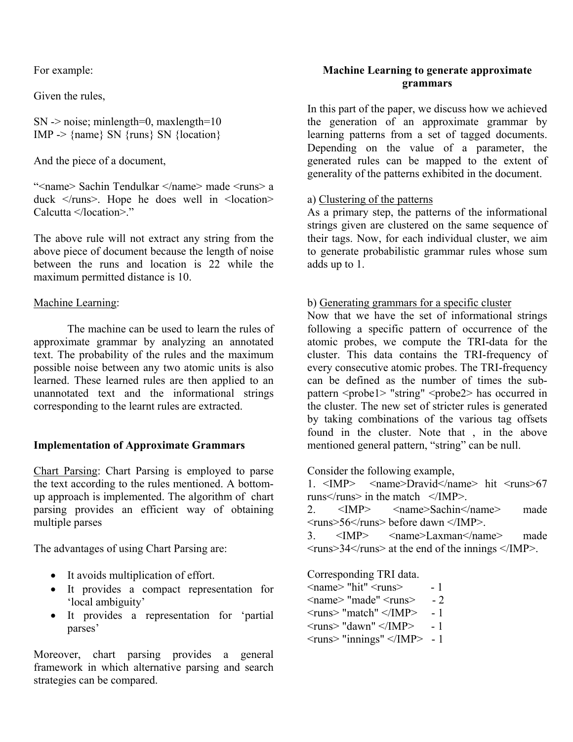For example:

Given the rules,

 $SN \rightarrow noise$ ; minlength=0, maxlength=10 IMP ->  $\{name\ SN \ \{runs\ SN \ \}$ 

And the piece of a document,

"<name> Sachin Tendulkar </name> made <runs> a duck  $\langle \text{runs} \rangle$ . Hope he does well in  $\langle$  location $\rangle$ Calcutta </location>"

The above rule will not extract any string from the above piece of document because the length of noise between the runs and location is 22 while the maximum permitted distance is 10.

#### Machine Learning:

 The machine can be used to learn the rules of approximate grammar by analyzing an annotated text. The probability of the rules and the maximum possible noise between any two atomic units is also learned. These learned rules are then applied to an unannotated text and the informational strings corresponding to the learnt rules are extracted.

#### **Implementation of Approximate Grammars**

Chart Parsing: Chart Parsing is employed to parse the text according to the rules mentioned. A bottomup approach is implemented. The algorithm of chart parsing provides an efficient way of obtaining multiple parses

The advantages of using Chart Parsing are:

- It avoids multiplication of effort.
- It provides a compact representation for 'local ambiguity'
- It provides a representation for 'partial parses'

Moreover, chart parsing provides a general framework in which alternative parsing and search strategies can be compared.

#### **Machine Learning to generate approximate grammars**

In this part of the paper, we discuss how we achieved the generation of an approximate grammar by learning patterns from a set of tagged documents. Depending on the value of a parameter, the generated rules can be mapped to the extent of generality of the patterns exhibited in the document.

#### a) Clustering of the patterns

As a primary step, the patterns of the informational strings given are clustered on the same sequence of their tags. Now, for each individual cluster, we aim to generate probabilistic grammar rules whose sum adds up to 1.

#### b) Generating grammars for a specific cluster

Now that we have the set of informational strings following a specific pattern of occurrence of the atomic probes, we compute the TRI-data for the cluster. This data contains the TRI-frequency of every consecutive atomic probes. The TRI-frequency can be defined as the number of times the subpattern <probe1> "string" <probe2> has occurred in the cluster. The new set of stricter rules is generated by taking combinations of the various tag offsets found in the cluster. Note that , in the above mentioned general pattern, "string" can be null.

Consider the following example,

1.  $\langle 1 \rangle$   $\langle 1 \rangle$   $\langle 2 \rangle$   $\langle 2 \rangle$   $\langle 2 \rangle$   $\langle 3 \rangle$   $\langle 4 \rangle$   $\langle 5 \rangle$   $\langle 6 \rangle$   $\langle 7 \rangle$   $\langle 7 \rangle$   $\langle 6 \rangle$   $\langle 7 \rangle$   $\langle 7 \rangle$   $\langle 8 \rangle$   $\langle 6 \rangle$   $\langle 7 \rangle$   $\langle 8 \rangle$   $\langle 7 \rangle$   $\langle 8 \rangle$   $\langle 7 \rangle$   $\langle 8 \rangle$   $\langle 8 \rangle$   $\langle 1 \rangle$   $\$ runs $\langle$ runs $\geq$  in the match  $\langle$ IMP $\rangle$ 

2. <IMP> <name>Sachin</name> made  $\langle \text{runs} \rangle$  56 $\langle \text{runs} \rangle$  before dawn  $\langle \text{IMP} \rangle$ 

```
3. <IMP> <name>Laxman</name> made 
\langle \text{runs} \rangle 34\langle \text{runs} \rangle at the end of the innings \langle \text{IMP} \rangle.
```
Corresponding TRI data.

 $\langle$ name $\rangle$  "hit"  $\langle$ runs $\rangle$  - 1  $\langle$ name $\rangle$  "made"  $\langle$ runs $\rangle$  - 2  $\langle$ runs $>$  "match"  $\langle$ IMP $> -1$  $\langle \text{runs} \rangle$  "dawn"  $\langle \text{MPP} \rangle$  - 1  $\langle$  =  $\langle$  1  $\rangle$  =  $\langle$  1  $\rangle$  =  $\langle$  1  $\rangle$  =  $\langle$  1  $\rangle$  =  $\langle$  1  $\rangle$  =  $\langle$  1  $\rangle$  +  $\langle$  1  $\rangle$  +  $\langle$  1  $\rangle$  +  $\langle$  1  $\rangle$  +  $\langle$  1  $\rangle$  +  $\langle$  1  $\rangle$  +  $\langle$  1  $\rangle$  +  $\langle$  1  $\rangle$  +  $\langle$  1  $\rangle$  +  $\langle$  1  $\rangle$  +  $\langle$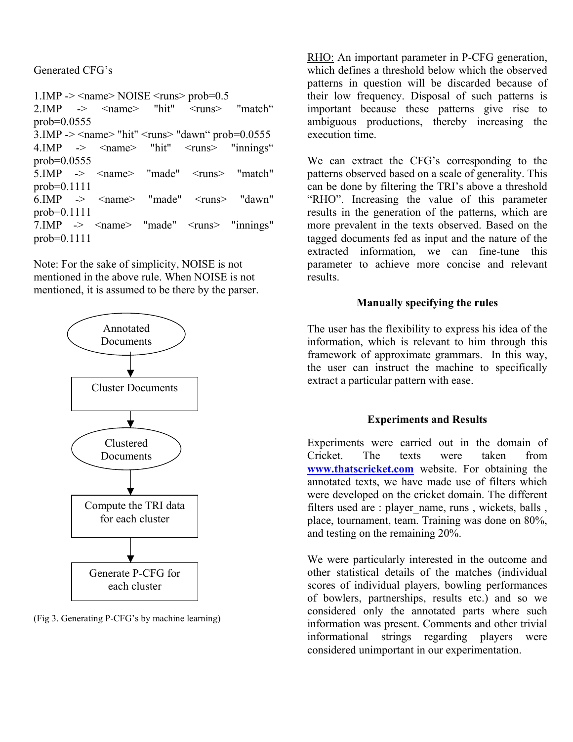Generated CFG's

1.IMP - $>$   $\leq$ name $>$  NOISE  $\leq$ runs $>$  prob=0.5 2.IMP  $\rightarrow$   $\leq$  name $\geq$  "hit"  $\leq$  runs $\geq$  "match" prob=0.0555  $3.$ IMP ->  $\le$ name> "hit"  $\le$ runs> "dawn" prob=0.0555 4.IMP -> <name> "hit" <runs> "innings" prob=0.0555 5.IMP -> <name> "made" <runs> "match" prob=0.1111 6.IMP -> <name> "made" <runs> "dawn" prob=0.1111 7.IMP -> <name> "made" <runs> "innings" prob=0.1111

Note: For the sake of simplicity, NOISE is not mentioned in the above rule. When NOISE is not mentioned, it is assumed to be there by the parser.



(Fig 3. Generating P-CFG's by machine learning)

RHO: An important parameter in P-CFG generation, which defines a threshold below which the observed patterns in question will be discarded because of their low frequency. Disposal of such patterns is important because these patterns give rise to ambiguous productions, thereby increasing the execution time.

We can extract the CFG's corresponding to the patterns observed based on a scale of generality. This can be done by filtering the TRI's above a threshold "RHO". Increasing the value of this parameter results in the generation of the patterns, which are more prevalent in the texts observed. Based on the tagged documents fed as input and the nature of the extracted information, we can fine-tune this parameter to achieve more concise and relevant results.

# **Manually specifying the rules**

The user has the flexibility to express his idea of the information, which is relevant to him through this framework of approximate grammars. In this way, the user can instruct the machine to specifically extract a particular pattern with ease.

# **Experiments and Results**

Experiments were carried out in the domain of Cricket. The texts were taken from **[www.thatscricket.com](http://www.thatscricket.com/)** website. For obtaining the annotated texts, we have made use of filters which were developed on the cricket domain. The different filters used are : player\_name, runs , wickets, balls , place, tournament, team. Training was done on 80%, and testing on the remaining 20%.

We were particularly interested in the outcome and other statistical details of the matches (individual scores of individual players, bowling performances of bowlers, partnerships, results etc.) and so we considered only the annotated parts where such information was present. Comments and other trivial informational strings regarding players were considered unimportant in our experimentation.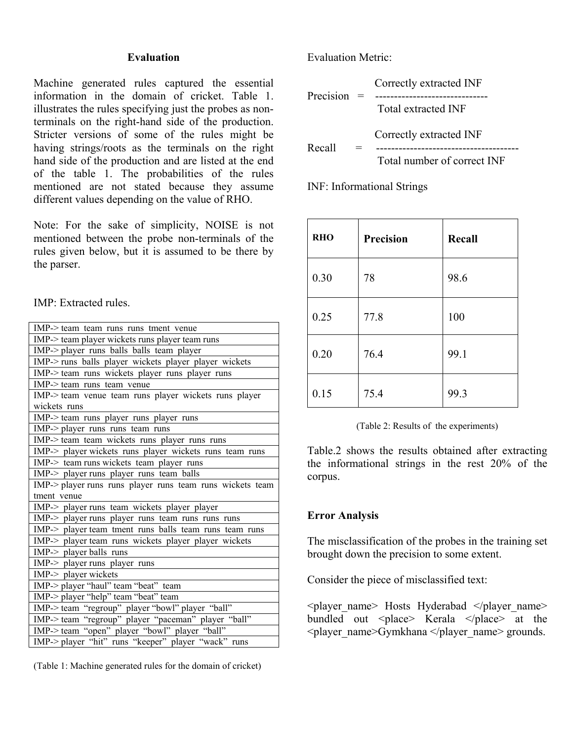#### **Evaluation**

Machine generated rules captured the essential information in the domain of cricket. Table 1. illustrates the rules specifying just the probes as nonterminals on the right-hand side of the production. Stricter versions of some of the rules might be having strings/roots as the terminals on the right hand side of the production and are listed at the end of the table 1. The probabilities of the rules mentioned are not stated because they assume different values depending on the value of RHO.

Note: For the sake of simplicity, NOISE is not mentioned between the probe non-terminals of the rules given below, but it is assumed to be there by the parser.

IMP: Extracted rules.

| IMP-> team team runs runs tment venue                     |  |  |  |
|-----------------------------------------------------------|--|--|--|
| IMP-> team player wickets runs player team runs           |  |  |  |
| IMP-> player runs balls balls team player                 |  |  |  |
|                                                           |  |  |  |
| IMP-> runs balls player wickets player player wickets     |  |  |  |
| IMP-> team runs wickets player runs player runs           |  |  |  |
| IMP-> team runs team venue                                |  |  |  |
| IMP-> team venue team runs player wickets runs player     |  |  |  |
| wickets runs                                              |  |  |  |
| IMP-> team runs player runs player runs                   |  |  |  |
| IMP-> player runs runs team runs                          |  |  |  |
| IMP-> team team wickets runs player runs runs             |  |  |  |
| IMP-> player wickets runs player wickets runs team runs   |  |  |  |
| IMP-> team runs wickets team player runs                  |  |  |  |
| IMP-> player runs player runs team balls                  |  |  |  |
| IMP-> player runs runs player runs team runs wickets team |  |  |  |
| tment venue                                               |  |  |  |
| IMP-> player runs team wickets player player              |  |  |  |
| IMP-> player runs player runs team runs runs runs         |  |  |  |
| IMP-> player team tment runs balls team runs team runs    |  |  |  |
| IMP > player team runs wickets player player wickets      |  |  |  |
| $IMP$ > player balls runs                                 |  |  |  |
| IMP-> player runs player runs                             |  |  |  |
| IMP-> player wickets                                      |  |  |  |
| IMP-> player "haul" team "beat" team                      |  |  |  |
| IMP-> player "help" team "beat" team                      |  |  |  |
|                                                           |  |  |  |
| IMP-> team "regroup" player "bowl" player "ball"          |  |  |  |
| IMP-> team "regroup" player "paceman" player "ball"       |  |  |  |
| IMP-> team "open" player "bowl" player "ball"             |  |  |  |
| IMP-> player "hit" runs "keeper" player "wack" runs       |  |  |  |

(Table 1: Machine generated rules for the domain of cricket)

Evaluation Metric:

Correctly extracted INF Precision = ------------------------------ Total extracted INF Correctly extracted INF Recall = -------------------------------------- Total number of correct INF

INF: Informational Strings

| <b>RHO</b> | <b>Precision</b> | Recall |
|------------|------------------|--------|
| 0.30       | 78               | 98.6   |
| 0.25       | 77.8             | 100    |
| 0.20       | 76.4             | 99.1   |
| 0.15       | 75.4             | 99.3   |

(Table 2: Results of the experiments)

Table.2 shows the results obtained after extracting the informational strings in the rest 20% of the corpus.

#### **Error Analysis**

The misclassification of the probes in the training set brought down the precision to some extent.

Consider the piece of misclassified text:

 $\langle$ player name> Hosts Hyderabad  $\langle$ player name> bundled out  $\langle$  place> Kerala  $\langle$  place> at the <player\_name>Gymkhana </player\_name> grounds.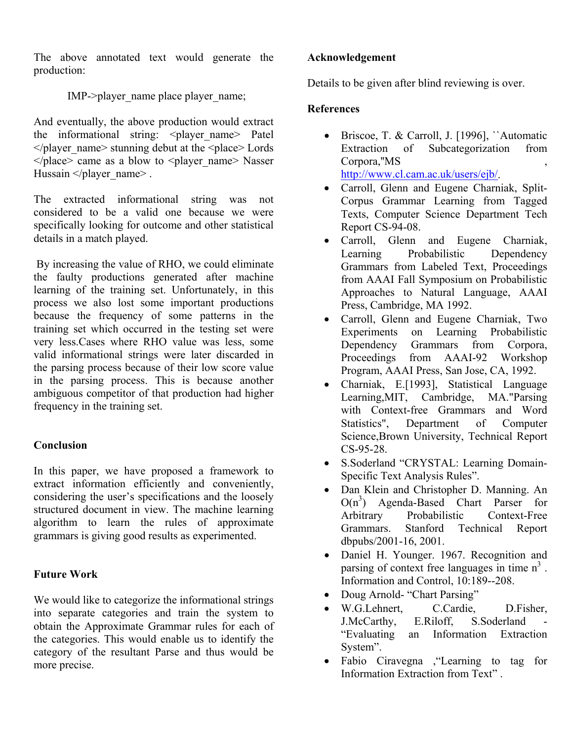The above annotated text would generate the production:

IMP->player\_name place player\_name;

And eventually, the above production would extract the informational string:  $\langle$ player name> Patel  $\langle$  player name> stunning debut at the  $\langle$  place> Lords  $\langle$  place> came as a blow to  $\langle$  player name> Nasser Hussain </player\_name>.

The extracted informational string was not considered to be a valid one because we were specifically looking for outcome and other statistical details in a match played.

 By increasing the value of RHO, we could eliminate the faulty productions generated after machine learning of the training set. Unfortunately, in this process we also lost some important productions because the frequency of some patterns in the training set which occurred in the testing set were very less.Cases where RHO value was less, some valid informational strings were later discarded in the parsing process because of their low score value in the parsing process. This is because another ambiguous competitor of that production had higher frequency in the training set.

# **Conclusion**

In this paper, we have proposed a framework to extract information efficiently and conveniently, considering the user's specifications and the loosely structured document in view. The machine learning algorithm to learn the rules of approximate grammars is giving good results as experimented.

#### **Future Work**

We would like to categorize the informational strings into separate categories and train the system to obtain the Approximate Grammar rules for each of the categories. This would enable us to identify the category of the resultant Parse and thus would be more precise.

#### **Acknowledgement**

Details to be given after blind reviewing is over.

#### **References**

- Briscoe, T. & Carroll, J. [1996], ``Automatic Extraction of Subcategorization from Corpora,''MS , <http://www.cl.cam.ac.uk/users/ejb/>.
- Carroll, Glenn and Eugene Charniak, Split-Corpus Grammar Learning from Tagged Texts, Computer Science Department Tech Report CS-94-08.
- Carroll, Glenn and Eugene Charniak, Learning Probabilistic Dependency Grammars from Labeled Text, Proceedings from AAAI Fall Symposium on Probabilistic Approaches to Natural Language, AAAI Press, Cambridge, MA 1992.
- Carroll, Glenn and Eugene Charniak, Two Experiments on Learning Probabilistic Dependency Grammars from Corpora, Proceedings from AAAI-92 Workshop Program, AAAI Press, San Jose, CA, 1992.
- Charniak, E.[1993], Statistical Language Learning,MIT, Cambridge, MA."Parsing with Context-free Grammars and Word Statistics", Department of Computer Science,Brown University, Technical Report CS-95-28.
- S.Soderland "CRYSTAL: Learning Domain-Specific Text Analysis Rules".
- Dan Klein and Christopher D. Manning. An  $O(n^3)$  Agenda-Based Chart Parser for Arbitrary Probabilistic Context-Free Grammars. Stanford Technical Report dbpubs/2001-16, 2001.
- Daniel H. Younger. 1967. Recognition and parsing of context free languages in time  $n<sup>3</sup>$ . Information and Control, 10:189--208.
- Doug Arnold- "Chart Parsing"
- W.G.Lehnert, C.Cardie, D.Fisher, J.McCarthy, E.Riloff, S.Soderland "Evaluating an Information Extraction System".
- Fabio Ciravegna ,"Learning to tag for Information Extraction from Text" .